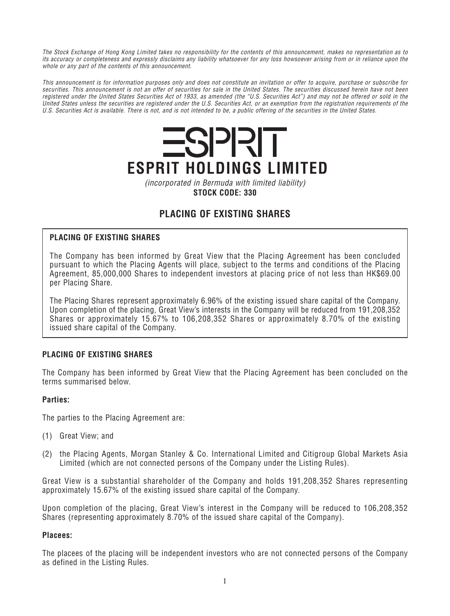*The Stock Exchange of Hong Kong Limited takes no responsibility for the contents of this announcement, makes no representation as to its accuracy or completeness and expressly disclaims any liability whatsoever for any loss howsoever arising from or in reliance upon the whole or any part of the contents of this announcement.*

*This announcement is for information purposes only and does not constitute an invitation or offer to acquire, purchase or subscribe for securities. This announcement is not an offer of securities for sale in the United States. The securities discussed herein have not been registered under the United States Securities Act of 1933, as amended (the "U.S. Securities Act") and may not be offered or sold in the United States unless the securities are registered under the U.S. Securities Act, or an exemption from the registration requirements of the U.S. Securities Act is available. There is not, and is not intended to be, a public offering of the securities in the United States.*



*(incorporated in Bermuda with limited liability)* **STOCK CODE: 330**

# **PLACING OF EXISTING SHARES**

## **PLACING OF EXISTING SHARES**

*The Company has been informed by Great View that the Placing Agreement has been concluded pursuant to which the Placing Agents will place, subject to the terms and conditions of the Placing Agreement, 85,000,000 Shares to independent investors at placing price of not less than HK\$69.00 per Placing Share.*

*The Placing Shares represent approximately 6.96% of the existing issued share capital of the Company. Upon completion of the placing, Great View's interests in the Company will be reduced from 191,208,352 Shares or approximately 15.67% to 106,208,352 Shares or approximately 8.70% of the existing issued share capital of the Company.*

# **PLACING OF EXISTING SHARES**

*The Company has been informed by Great View that the Placing Agreement has been concluded on the terms summarised below.*

## **Parties:**

*The parties to the Placing Agreement are:*

- *(1) Great View; and*
- *(2) the Placing Agents, Morgan Stanley & Co. International Limited and Citigroup Global Markets Asia Limited (which are not connected persons of the Company under the Listing Rules).*

*Great View is a substantial shareholder of the Company and holds 191,208,352 Shares representing approximately 15.67% of the existing issued share capital of the Company.*

*Upon completion of the placing, Great View's interest in the Company will be reduced to 106,208,352 Shares (representing approximately 8.70% of the issued share capital of the Company).*

## **Placees:**

*The placees of the placing will be independent investors who are not connected persons of the Company as defined in the Listing Rules.*